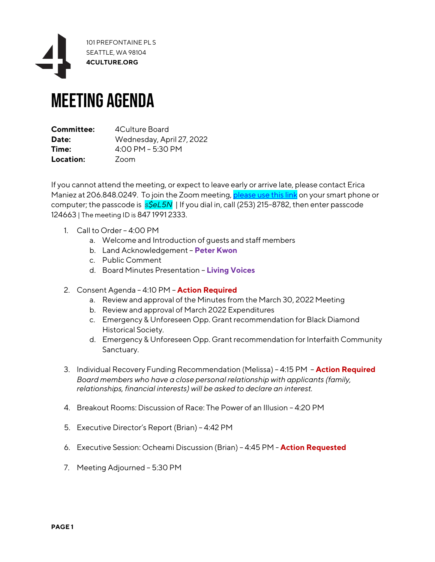

## Meeting Agenda

| Committee: | 4Culture Board            |
|------------|---------------------------|
| Date:      | Wednesday, April 27, 2022 |
| Time:      | 4:00 PM - 5:30 PM         |
| Location:  | Zoom                      |

If you cannot attend the meeting, or expect to leave early or arrive late, please contact Erica Maniez at 206.848.0249. To join the Zoom meeting, [please use this link](https://4culture.zoom.us/w/84719912333?tk=bj4oj7AjuCynC04w6hMl4xld1YM95PJ1IcB360jEYjw.DQMAAAATubNFjRZ0QmNYdTZ2bVJXS1VrYU4zcjBqWVhRAAAAAAAAAAAAAAAAAAAAAAAAAAAAAA&pwd=bkpQN3pwT1hyNHIwL2tDeit4NkJMdz09) on your smart phone or computer; the passcode is *s\$eL5N* | If you dial in, call (253) 215-8782, then enter passcode 124663 | The meeting ID is 847 1991 2333.

- 1. Call to Order 4:00 PM
	- a. Welcome and Introduction of guests and staff members
	- b. Land Acknowledgement **Peter Kwon**
	- c. Public Comment
	- d. Board Minutes Presentation **Living Voices**
- 2. Consent Agenda 4:10 PM **Action Required**
	- a. Review and approval of the Minutes from the March 30, 2022 Meeting
	- b. Review and approval of March 2022 Expenditures
	- c. Emergency & Unforeseen Opp. Grant recommendation for Black Diamond Historical Society.
	- d. Emergency & Unforeseen Opp. Grant recommendation for Interfaith Community Sanctuary.
- 3. Individual Recovery Funding Recommendation (Melissa) 4:15 PM **Action Required** *Board members who have a close personal relationship with applicants (family, relationships, financial interests) will be asked to declare an interest.*
- 4. Breakout Rooms: Discussion of Race: The Power of an Illusion 4:20 PM
- 5. Executive Director's Report (Brian) 4:42 PM
- 6. Executive Session: Ocheami Discussion (Brian) 4:45 PM **Action Requested**
- 7. Meeting Adjourned 5:30 PM